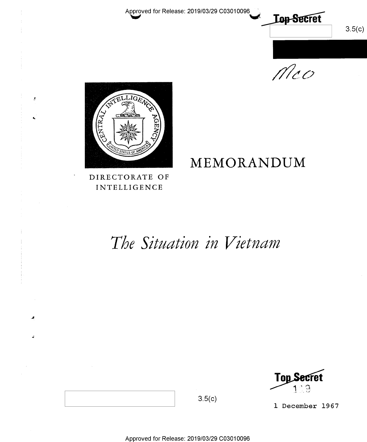Approved for Release: 2019/03/29 C03010096

 $3.5(c)$ 

 $Mco$ 

**Lop-Secret** 



 $\bar{g}$ 

INTELLIGENCE

# MEMORANDUM DIRECTORATE OF

# The Situation in Vietnam

Top Secret 1

l December 1967

Approved for Release: 2019/03/29 C03010096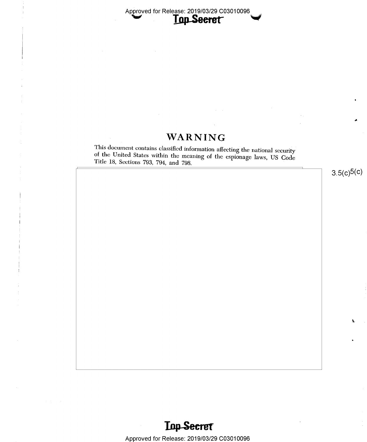Approved for Release: 2019/03/29 C03010096

## WARNING

This document contains classified information affecting the national security <sup>Y</sup>of the United States within the meaning of the espionage laws, US Code Title 18, Sections 793, 794, and 798.

 $3.5(c)5(c)$ 

,9;

J



Approved for Release: 2019/03/29 C03010096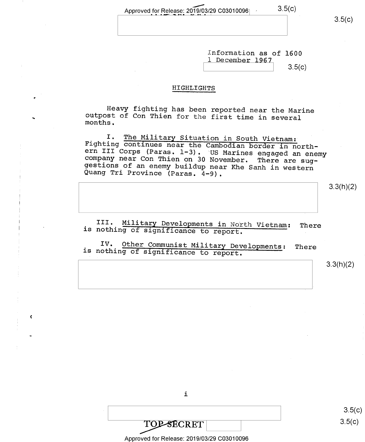Approved for Release: 2019/03/29 C03010096  $3.5(c)$ 

 $3.5(c)$ 

Information as of 1600 1 December 1967  $3.5(c)$ 

#### HIGHLIGHTS

Heavy fighting has been reported near the Marine outpost of Con Thien for the first time in several months.

I. The Military Situation in South Vietnam:<br>Fighting continues near the Cambodian border in north-<br>ern III Corps (Paras. 1-3). US Marines engaged an enemy<br>company near Con Thien on 30 November. There are sug-<br>gestions of a

3.3(h)(2)

III. Military Developments in North Vietnam: There is nothing of significance to report.

IV. Other Communist Military Developments: There is nothing of significance to report.

3.3(h)(2)

i

TOP-SECRET

 $\pmb{\zeta}$ 

Approved for Release: 2019/03/29 C03010096

 $3.5(c)$  $3.5(c)$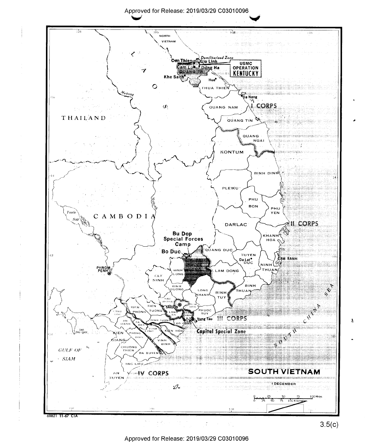#### Approved for Release: 2019/03/29 C03010096



Approved for Release: 2019/03/29 C03010096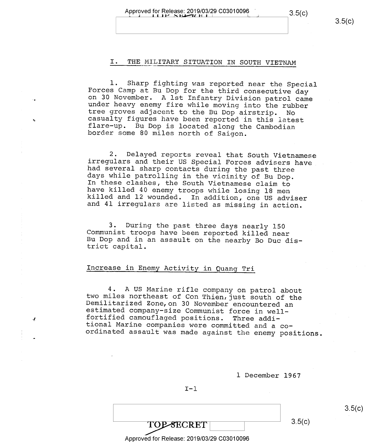#### I. THE MILITARY SITUATION IN SOUTH VIETNAM

1. Sharp fighting was reported near the Special<br>Forces Camp at Bu Dop for the third consecutive day<br>on 30 November. A lst Infantry Division patrol came<br>under heavy enemy fire while moving into the rubber<br>tree groves adjace

2. Delayed reports reveal that South Vietnamese<br>irregulars and their US Special Forces advisers have<br>had several sharp contacts during the past three<br>days while patrolling in the vicinity of Bu Dop.<br>In these clashes, the S

3. During the past three days nearly 150 Communist troops have been reported killed near Bu Dop and in an assault on the nearby Bo Duc dis- trict capital.

#### Increase in Enemy Activity in Quang Tri

4. A US Marine rifle company on patrol about<br>two miles northeast of Con Thien, just south of the<br>Demilitarized Zone, on 30 November encountered an<br>estimated company-size Communist force in well-<br>fortified camouflaged posit

1 December 1967

 $I-1$ 

 $\overline{TOP\text{-}SECRET}$  3.5(c)

#### Approved for Release: 2019/03/29 C03010096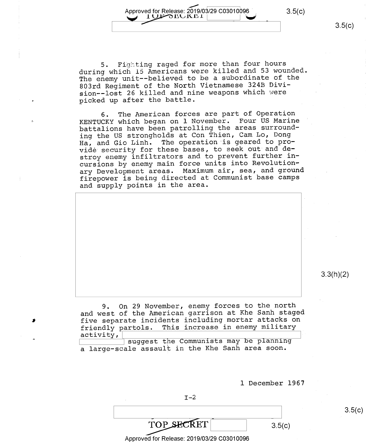$3.5(c)$ 

5. Fighting raged for more than four hours during which l5 Americans were killed and 53 wounded The enemy unit--believed to be a subordinate of the 803rd Regiment of the North Vietnamese 324B Division—-lost 26 killed and nine weapons which were picked up after the battle.

Approved for Release: 2019/03/29 C03010096

Approved for Release. 2019/03/29 C03010090

6. The American forces are part of Operation KENTUCKY which began on l November. Four US Marine battalions have been patrolling the areas surround ing the US strongholds at Con Thien, Cam Lo, Dong Ha, and Gio Linh. The operation is geared to provide security for these bases, to seek out and destroy enemy infiltrators and to prevent further incursions by enemy main force units into Revolution ary Development areas. Maximum air, sea, and ground firepower is being directed at Communist base camps and supply points in the area.



3.3(h)(2)

9. On 29 November, enemy forces to the north and west of the American garrison at Khe Sanh staged five separate incidents including mortar attacks on<br>friendly partols. This increase in enemy military friendly partols. This increase in enemy military activity,  $\texttt{activity,} \perp$ 

suggest the Communists may be planning<br>communists may be planning a large—scale assault in the Khe Sanh area soon.

l December 1967

 $I-2$ 

 $TOP\_SECTION$   $3.5(c)$ 

Approved for Release: 2019/03/29 C03010096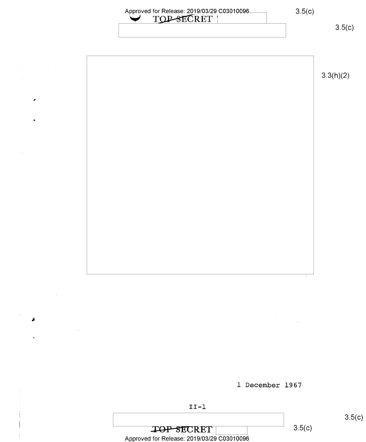# Approved for Release: 2019/03/29 C03010096<br>
TOP-SECRET |

3.5(c)



l December 1967

 $\sim 1$ 



 $\overline{\text{LOP-SECRET}}$  3.5(c) Approved for Release: 2019/03/29 C03010096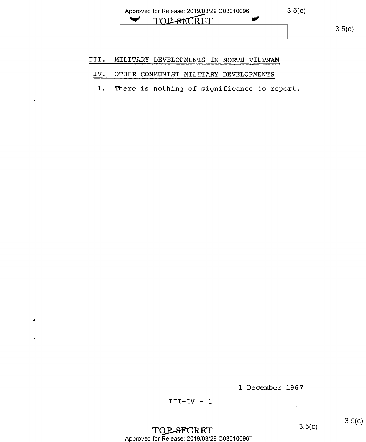#### III.' MILITARY DEVELOPMENTS IN NORTH VIETNAM

### IV. OTHER COMMUNIST MILITARY DEVELOPMENTS

l. There is nothing of significance to report.

l December 1967

×

 $\begin{array}{|l|l|} \hline \textbf{TOP-SEARCH}&3.5(20) \hline \textbf{CHAPTER} & \textbf{1} & \textbf{1} & \textbf{1} \ \textbf{1} & \textbf{2} & \textbf{3} & \textbf{2} & \textbf{2} \ \textbf{2} & \textbf{3} & \textbf{2} & \textbf{2} & \textbf{2} & \textbf{2} & \textbf{2} \ \textbf{3} & \textbf{3} & \textbf{2} & \textbf{2} & \textbf{2} & \textbf{2} & \textbf{2} & \textbf{2} \ \textbf{3} & \textbf{3} & \textbf{3}$  $3.5(c)$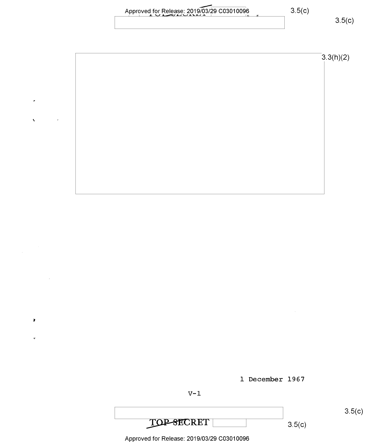| 3.5(c)<br>- |
|-------------|
|             |

 $3.3(h)(2)$ 

Approved for Release: 2019/03/29 C03010096

×

×





3\_5(C)

3.5(c)

Approved for Release: 2019/03/29 C03010096